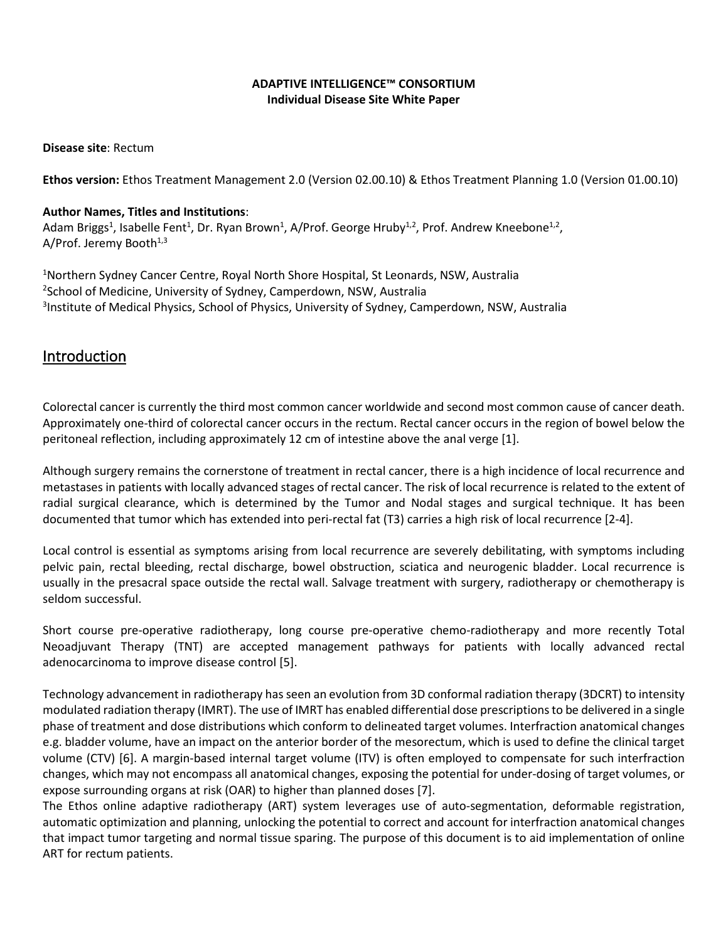#### **ADAPTIVE INTELLIGENCE™ CONSORTIUM Individual Disease Site White Paper**

**Disease site**: Rectum

**Ethos version:** Ethos Treatment Management 2.0 (Version 02.00.10) & Ethos Treatment Planning 1.0 (Version 01.00.10)

#### **Author Names, Titles and Institutions**:

Adam Briggs<sup>1</sup>, Isabelle Fent<sup>1</sup>, Dr. Ryan Brown<sup>1</sup>, A/Prof. George Hruby<sup>1,2</sup>, Prof. Andrew Kneebone<sup>1,2</sup>, A/Prof. Jeremy Booth $1,3$ 

<sup>1</sup>Northern Sydney Cancer Centre, Royal North Shore Hospital, St Leonards, NSW, Australia 2 School of Medicine, University of Sydney, Camperdown, NSW, Australia <sup>3</sup>Institute of Medical Physics, School of Physics, University of Sydney, Camperdown, NSW, Australia

### Introduction

Colorectal cancer is currently the third most common cancer worldwide and second most common cause of cancer death. Approximately one-third of colorectal cancer occurs in the rectum. Rectal cancer occurs in the region of bowel below the peritoneal reflection, including approximately 12 cm of intestine above the anal verge [1].

Although surgery remains the cornerstone of treatment in rectal cancer, there is a high incidence of local recurrence and metastases in patients with locally advanced stages of rectal cancer. The risk of local recurrence is related to the extent of radial surgical clearance, which is determined by the Tumor and Nodal stages and surgical technique. It has been documented that tumor which has extended into peri-rectal fat (T3) carries a high risk of local recurrence [2-4].

Local control is essential as symptoms arising from local recurrence are severely debilitating, with symptoms including pelvic pain, rectal bleeding, rectal discharge, bowel obstruction, sciatica and neurogenic bladder. Local recurrence is usually in the presacral space outside the rectal wall. Salvage treatment with surgery, radiotherapy or chemotherapy is seldom successful.

Short course pre-operative radiotherapy, long course pre-operative chemo-radiotherapy and more recently Total Neoadjuvant Therapy (TNT) are accepted management pathways for patients with locally advanced rectal adenocarcinoma to improve disease control [5].

Technology advancement in radiotherapy has seen an evolution from 3D conformal radiation therapy (3DCRT) to intensity modulated radiation therapy (IMRT). The use of IMRT has enabled differential dose prescriptions to be delivered in a single phase of treatment and dose distributions which conform to delineated target volumes. Interfraction anatomical changes e.g. bladder volume, have an impact on the anterior border of the mesorectum, which is used to define the clinical target volume (CTV) [6]. A margin-based internal target volume (ITV) is often employed to compensate for such interfraction changes, which may not encompass all anatomical changes, exposing the potential for under-dosing of target volumes, or expose surrounding organs at risk (OAR) to higher than planned doses [7].

The Ethos online adaptive radiotherapy (ART) system leverages use of auto-segmentation, deformable registration, automatic optimization and planning, unlocking the potential to correct and account for interfraction anatomical changes that impact tumor targeting and normal tissue sparing. The purpose of this document is to aid implementation of online ART for rectum patients.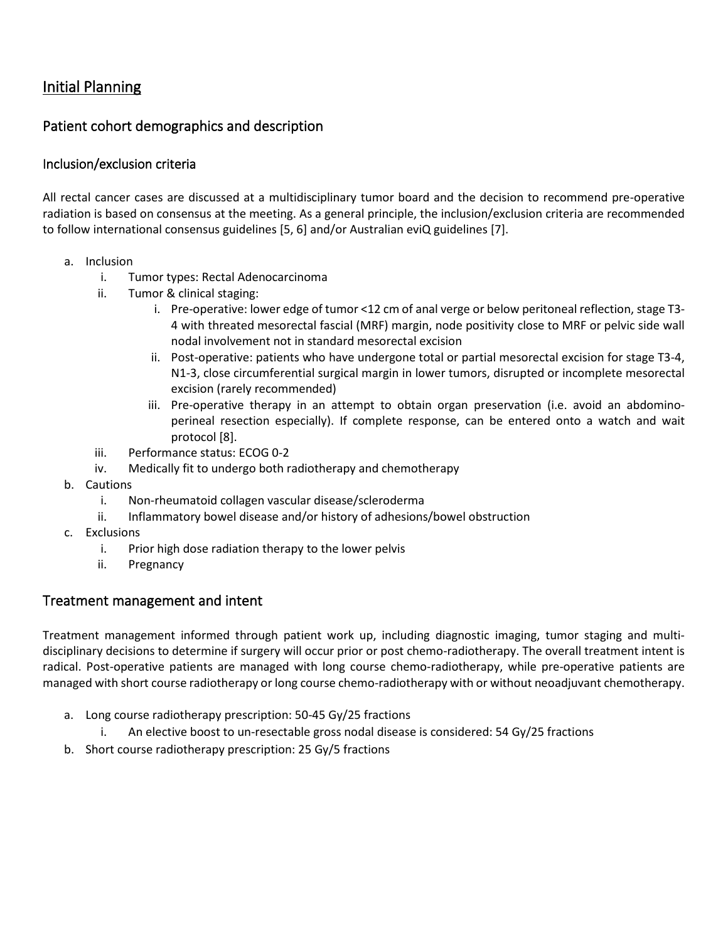# Initial Planning

# Patient cohort demographics and description

#### Inclusion/exclusion criteria

All rectal cancer cases are discussed at a multidisciplinary tumor board and the decision to recommend pre-operative radiation is based on consensus at the meeting. As a general principle, the inclusion/exclusion criteria are recommended to follow international consensus guidelines [5, 6] and/or Australian eviQ guidelines [7].

- a. Inclusion
	- i. Tumor types: Rectal Adenocarcinoma
	- ii. Tumor & clinical staging:
		- i. Pre-operative: lower edge of tumor <12 cm of anal verge or below peritoneal reflection, stage T3- 4 with threated mesorectal fascial (MRF) margin, node positivity close to MRF or pelvic side wall nodal involvement not in standard mesorectal excision
		- ii. Post-operative: patients who have undergone total or partial mesorectal excision for stage T3-4, N1-3, close circumferential surgical margin in lower tumors, disrupted or incomplete mesorectal excision (rarely recommended)
		- iii. Pre-operative therapy in an attempt to obtain organ preservation (i.e. avoid an abdominoperineal resection especially). If complete response, can be entered onto a watch and wait protocol [8].
	- iii. Performance status: ECOG 0-2
	- iv. Medically fit to undergo both radiotherapy and chemotherapy
- b. Cautions
	- i. Non-rheumatoid collagen vascular disease/scleroderma
	- ii. Inflammatory bowel disease and/or history of adhesions/bowel obstruction
- c. Exclusions
	- i. Prior high dose radiation therapy to the lower pelvis
	- ii. Pregnancy

### Treatment management and intent

Treatment management informed through patient work up, including diagnostic imaging, tumor staging and multidisciplinary decisions to determine if surgery will occur prior or post chemo-radiotherapy. The overall treatment intent is radical. Post-operative patients are managed with long course chemo-radiotherapy, while pre-operative patients are managed with short course radiotherapy or long course chemo-radiotherapy with or without neoadjuvant chemotherapy.

- a. Long course radiotherapy prescription: 50-45 Gy/25 fractions
	- i. An elective boost to un-resectable gross nodal disease is considered: 54 Gy/25 fractions
- b. Short course radiotherapy prescription: 25 Gy/5 fractions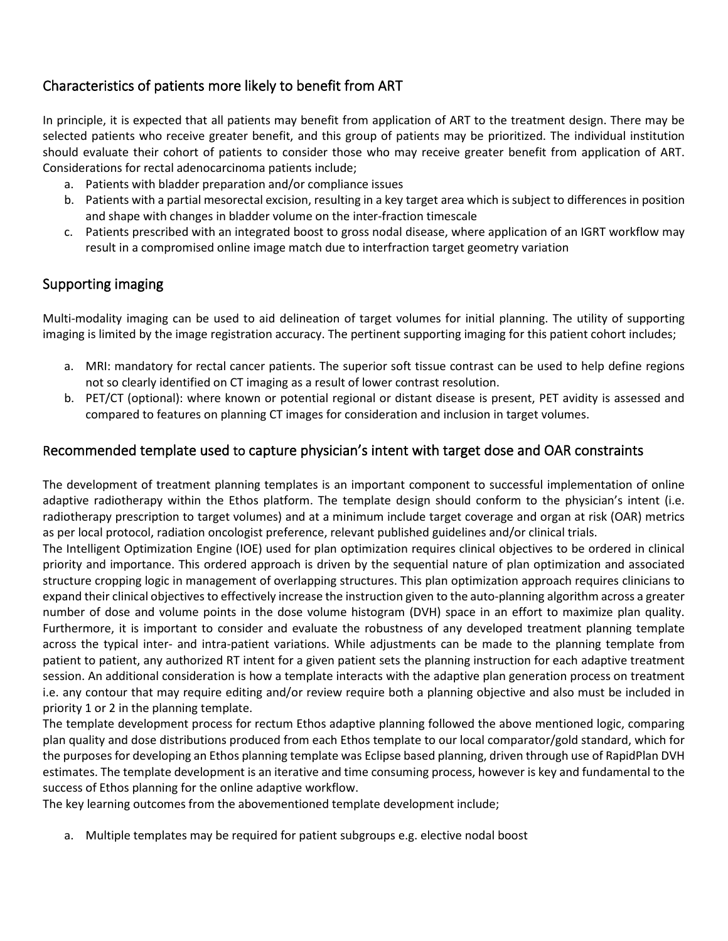# Characteristics of patients more likely to benefit from ART

In principle, it is expected that all patients may benefit from application of ART to the treatment design. There may be selected patients who receive greater benefit, and this group of patients may be prioritized. The individual institution should evaluate their cohort of patients to consider those who may receive greater benefit from application of ART. Considerations for rectal adenocarcinoma patients include;

- a. Patients with bladder preparation and/or compliance issues
- b. Patients with a partial mesorectal excision, resulting in a key target area which is subject to differences in position and shape with changes in bladder volume on the inter-fraction timescale
- c. Patients prescribed with an integrated boost to gross nodal disease, where application of an IGRT workflow may result in a compromised online image match due to interfraction target geometry variation

### Supporting imaging

Multi-modality imaging can be used to aid delineation of target volumes for initial planning. The utility of supporting imaging is limited by the image registration accuracy. The pertinent supporting imaging for this patient cohort includes;

- a. MRI: mandatory for rectal cancer patients. The superior soft tissue contrast can be used to help define regions not so clearly identified on CT imaging as a result of lower contrast resolution.
- b. PET/CT (optional): where known or potential regional or distant disease is present, PET avidity is assessed and compared to features on planning CT images for consideration and inclusion in target volumes.

### Recommended template used to capture physician's intent with target dose and OAR constraints

The development of treatment planning templates is an important component to successful implementation of online adaptive radiotherapy within the Ethos platform. The template design should conform to the physician's intent (i.e. radiotherapy prescription to target volumes) and at a minimum include target coverage and organ at risk (OAR) metrics as per local protocol, radiation oncologist preference, relevant published guidelines and/or clinical trials.

The Intelligent Optimization Engine (IOE) used for plan optimization requires clinical objectives to be ordered in clinical priority and importance. This ordered approach is driven by the sequential nature of plan optimization and associated structure cropping logic in management of overlapping structures. This plan optimization approach requires clinicians to expand their clinical objectives to effectively increase the instruction given to the auto-planning algorithm across a greater number of dose and volume points in the dose volume histogram (DVH) space in an effort to maximize plan quality. Furthermore, it is important to consider and evaluate the robustness of any developed treatment planning template across the typical inter- and intra-patient variations. While adjustments can be made to the planning template from patient to patient, any authorized RT intent for a given patient sets the planning instruction for each adaptive treatment session. An additional consideration is how a template interacts with the adaptive plan generation process on treatment i.e. any contour that may require editing and/or review require both a planning objective and also must be included in priority 1 or 2 in the planning template.

The template development process for rectum Ethos adaptive planning followed the above mentioned logic, comparing plan quality and dose distributions produced from each Ethos template to our local comparator/gold standard, which for the purposes for developing an Ethos planning template was Eclipse based planning, driven through use of RapidPlan DVH estimates. The template development is an iterative and time consuming process, however is key and fundamental to the success of Ethos planning for the online adaptive workflow.

The key learning outcomes from the abovementioned template development include;

a. Multiple templates may be required for patient subgroups e.g. elective nodal boost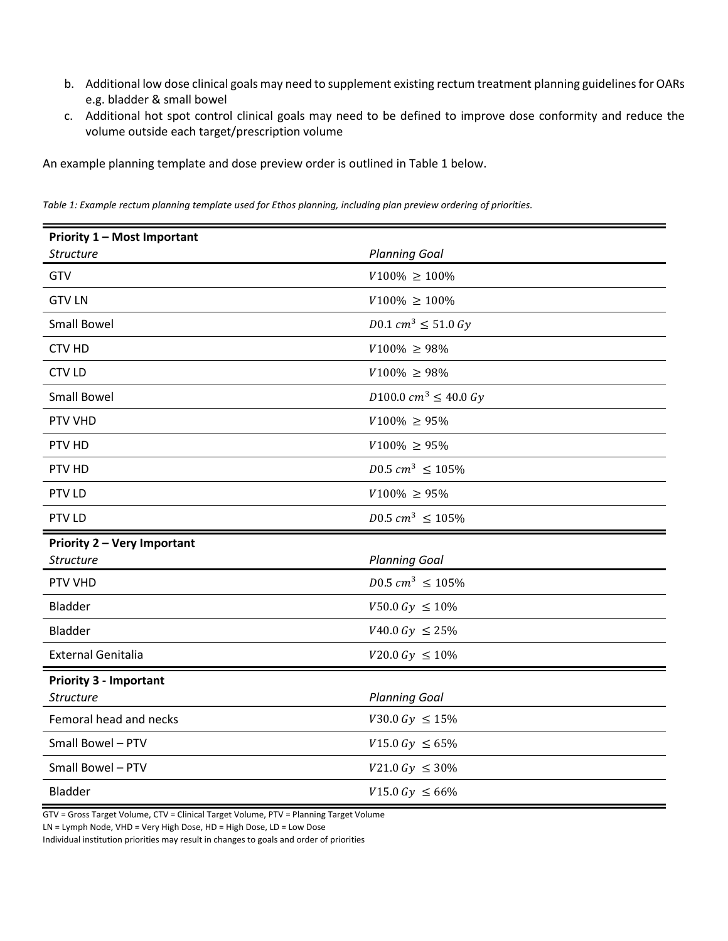- b. Additional low dose clinical goals may need to supplement existing rectum treatment planning guidelines for OARs e.g. bladder & small bowel
- c. Additional hot spot control clinical goals may need to be defined to improve dose conformity and reduce the volume outside each target/prescription volume

An example planning template and dose preview order is outlined in [Table 1](#page-3-0) below.

| <b>Priority 1 - Most Important</b> |                                  |  |  |
|------------------------------------|----------------------------------|--|--|
| <b>Structure</b>                   | <b>Planning Goal</b>             |  |  |
| GTV                                | $V100\% \ge 100\%$               |  |  |
| <b>GTV LN</b>                      | $V100\% \ge 100\%$               |  |  |
| <b>Small Bowel</b>                 | $D0.1\,cm^3 \leq 51.0\,Gy$       |  |  |
| <b>CTV HD</b>                      | $V100\% \ge 98\%$                |  |  |
| <b>CTV LD</b>                      | $V100\% \ge 98\%$                |  |  |
| Small Bowel                        | $D100.0 \; cm^3 \leq 40.0 \; Gy$ |  |  |
| PTV VHD                            | $V100\% \ge 95\%$                |  |  |
| PTV HD                             | $V100\% \ge 95\%$                |  |  |
| PTV HD                             | $D0.5$ $cm^3 \le 105\%$          |  |  |
| PTV LD                             | $V100\% \ge 95\%$                |  |  |
| PTV LD                             | $D0.5$ $cm^3 \le 105\%$          |  |  |
| Priority 2 - Very Important        |                                  |  |  |
| <b>Structure</b>                   | <b>Planning Goal</b>             |  |  |
| PTV VHD                            | $D0.5\ cm^3\ \leq 105\%$         |  |  |
| <b>Bladder</b>                     | $V50.0\;Gy \le 10\%$             |  |  |
| <b>Bladder</b>                     | $V40.0\;Gy \leq 25\%$            |  |  |
| <b>External Genitalia</b>          | $V20.0\ Gy \le 10\%$             |  |  |
| <b>Priority 3 - Important</b>      |                                  |  |  |
| <b>Structure</b>                   | <b>Planning Goal</b>             |  |  |
| Femoral head and necks             | $V30.0\ Gy \le 15\%$             |  |  |
| Small Bowel - PTV                  | $V15.0\;Gy \le 65\%$             |  |  |
| Small Bowel - PTV                  | $V21.0\ Gy \leq 30\%$            |  |  |
| <b>Bladder</b>                     | $V15.0\ Gy \le 66\%$             |  |  |

<span id="page-3-0"></span>*Table 1: Example rectum planning template used for Ethos planning, including plan preview ordering of priorities.* 

GTV = Gross Target Volume, CTV = Clinical Target Volume, PTV = Planning Target Volume

LN = Lymph Node, VHD = Very High Dose, HD = High Dose, LD = Low Dose

Individual institution priorities may result in changes to goals and order of priorities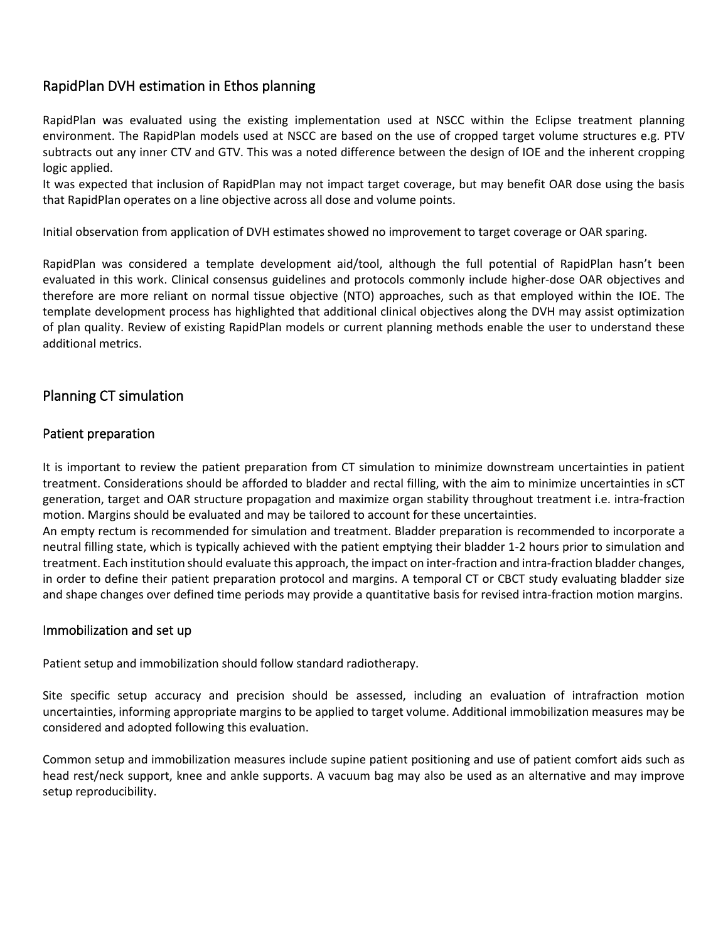## RapidPlan DVH estimation in Ethos planning

RapidPlan was evaluated using the existing implementation used at NSCC within the Eclipse treatment planning environment. The RapidPlan models used at NSCC are based on the use of cropped target volume structures e.g. PTV subtracts out any inner CTV and GTV. This was a noted difference between the design of IOE and the inherent cropping logic applied.

It was expected that inclusion of RapidPlan may not impact target coverage, but may benefit OAR dose using the basis that RapidPlan operates on a line objective across all dose and volume points.

Initial observation from application of DVH estimates showed no improvement to target coverage or OAR sparing.

RapidPlan was considered a template development aid/tool, although the full potential of RapidPlan hasn't been evaluated in this work. Clinical consensus guidelines and protocols commonly include higher-dose OAR objectives and therefore are more reliant on normal tissue objective (NTO) approaches, such as that employed within the IOE. The template development process has highlighted that additional clinical objectives along the DVH may assist optimization of plan quality. Review of existing RapidPlan models or current planning methods enable the user to understand these additional metrics.

### Planning CT simulation

#### Patient preparation

It is important to review the patient preparation from CT simulation to minimize downstream uncertainties in patient treatment. Considerations should be afforded to bladder and rectal filling, with the aim to minimize uncertainties in sCT generation, target and OAR structure propagation and maximize organ stability throughout treatment i.e. intra-fraction motion. Margins should be evaluated and may be tailored to account for these uncertainties.

An empty rectum is recommended for simulation and treatment. Bladder preparation is recommended to incorporate a neutral filling state, which is typically achieved with the patient emptying their bladder 1-2 hours prior to simulation and treatment. Each institution should evaluate this approach, the impact on inter-fraction and intra-fraction bladder changes, in order to define their patient preparation protocol and margins. A temporal CT or CBCT study evaluating bladder size and shape changes over defined time periods may provide a quantitative basis for revised intra-fraction motion margins.

#### Immobilization and set up

Patient setup and immobilization should follow standard radiotherapy.

Site specific setup accuracy and precision should be assessed, including an evaluation of intrafraction motion uncertainties, informing appropriate margins to be applied to target volume. Additional immobilization measures may be considered and adopted following this evaluation.

Common setup and immobilization measures include supine patient positioning and use of patient comfort aids such as head rest/neck support, knee and ankle supports. A vacuum bag may also be used as an alternative and may improve setup reproducibility.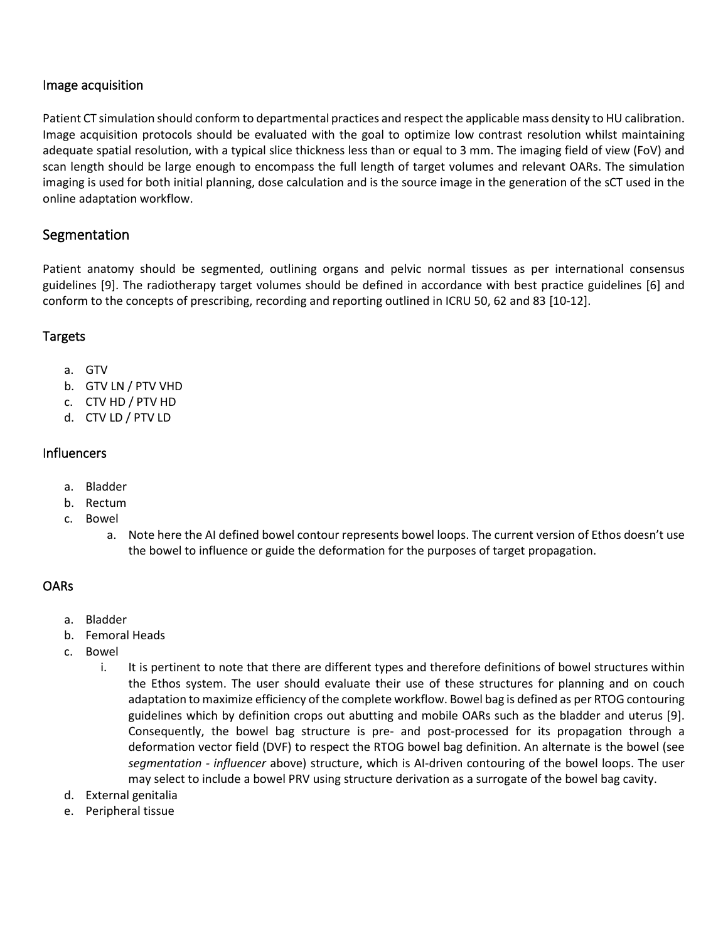#### Image acquisition

Patient CT simulation should conform to departmental practices and respect the applicable mass density to HU calibration. Image acquisition protocols should be evaluated with the goal to optimize low contrast resolution whilst maintaining adequate spatial resolution, with a typical slice thickness less than or equal to 3 mm. The imaging field of view (FoV) and scan length should be large enough to encompass the full length of target volumes and relevant OARs. The simulation imaging is used for both initial planning, dose calculation and is the source image in the generation of the sCT used in the online adaptation workflow.

## Segmentation

Patient anatomy should be segmented, outlining organs and pelvic normal tissues as per international consensus guidelines [9]. The radiotherapy target volumes should be defined in accordance with best practice guidelines [6] and conform to the concepts of prescribing, recording and reporting outlined in ICRU 50, 62 and 83 [10-12].

#### Targets

- a. GTV
- b. GTV LN / PTV VHD
- c. CTV HD / PTV HD
- d. CTV LD / PTV LD

#### **Influencers**

- a. Bladder
- b. Rectum
- c. Bowel
	- a. Note here the AI defined bowel contour represents bowel loops. The current version of Ethos doesn't use the bowel to influence or guide the deformation for the purposes of target propagation.

### OARs

- a. Bladder
- b. Femoral Heads
- c. Bowel
	- i. It is pertinent to note that there are different types and therefore definitions of bowel structures within the Ethos system. The user should evaluate their use of these structures for planning and on couch adaptation to maximize efficiency of the complete workflow. Bowel bag is defined as per RTOG contouring guidelines which by definition crops out abutting and mobile OARs such as the bladder and uterus [9]. Consequently, the bowel bag structure is pre- and post-processed for its propagation through a deformation vector field (DVF) to respect the RTOG bowel bag definition. An alternate is the bowel (see *segmentation - influencer* above) structure, which is AI-driven contouring of the bowel loops. The user may select to include a bowel PRV using structure derivation as a surrogate of the bowel bag cavity.
- d. External genitalia
- e. Peripheral tissue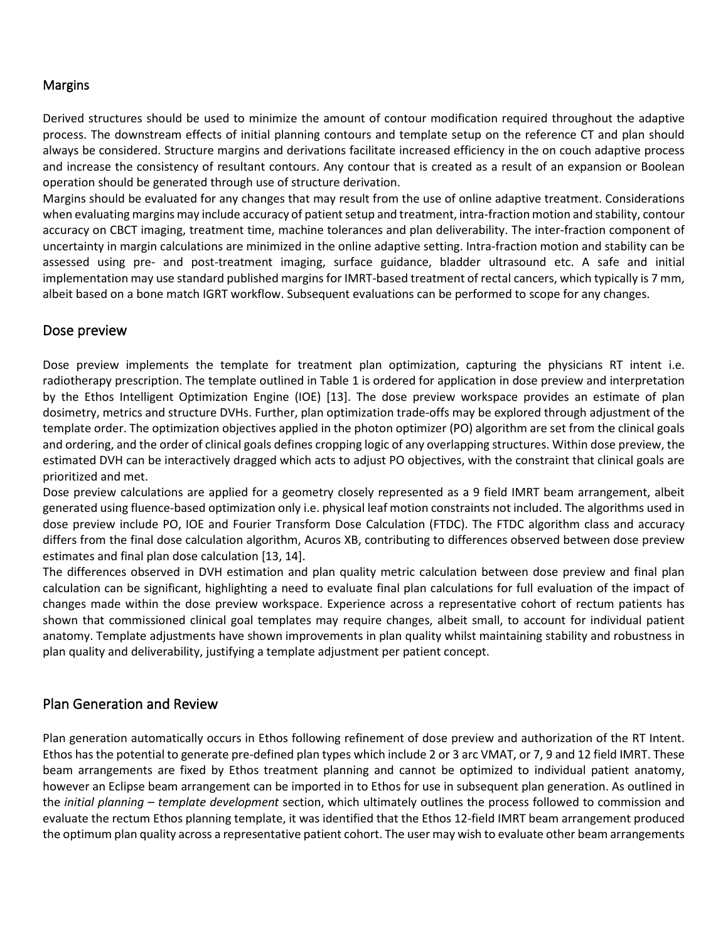#### **Margins**

Derived structures should be used to minimize the amount of contour modification required throughout the adaptive process. The downstream effects of initial planning contours and template setup on the reference CT and plan should always be considered. Structure margins and derivations facilitate increased efficiency in the on couch adaptive process and increase the consistency of resultant contours. Any contour that is created as a result of an expansion or Boolean operation should be generated through use of structure derivation.

Margins should be evaluated for any changes that may result from the use of online adaptive treatment. Considerations when evaluating margins may include accuracy of patient setup and treatment, intra-fraction motion and stability, contour accuracy on CBCT imaging, treatment time, machine tolerances and plan deliverability. The inter-fraction component of uncertainty in margin calculations are minimized in the online adaptive setting. Intra-fraction motion and stability can be assessed using pre- and post-treatment imaging, surface guidance, bladder ultrasound etc. A safe and initial implementation may use standard published margins for IMRT-based treatment of rectal cancers, which typically is 7 mm, albeit based on a bone match IGRT workflow. Subsequent evaluations can be performed to scope for any changes.

### Dose preview

Dose preview implements the template for treatment plan optimization, capturing the physicians RT intent i.e. radiotherapy prescription. The template outlined in [Table 1](#page-3-0) is ordered for application in dose preview and interpretation by the Ethos Intelligent Optimization Engine (IOE) [13]. The dose preview workspace provides an estimate of plan dosimetry, metrics and structure DVHs. Further, plan optimization trade-offs may be explored through adjustment of the template order. The optimization objectives applied in the photon optimizer (PO) algorithm are set from the clinical goals and ordering, and the order of clinical goals defines cropping logic of any overlapping structures. Within dose preview, the estimated DVH can be interactively dragged which acts to adjust PO objectives, with the constraint that clinical goals are prioritized and met.

Dose preview calculations are applied for a geometry closely represented as a 9 field IMRT beam arrangement, albeit generated using fluence-based optimization only i.e. physical leaf motion constraints not included. The algorithms used in dose preview include PO, IOE and Fourier Transform Dose Calculation (FTDC). The FTDC algorithm class and accuracy differs from the final dose calculation algorithm, Acuros XB, contributing to differences observed between dose preview estimates and final plan dose calculation [13, 14].

The differences observed in DVH estimation and plan quality metric calculation between dose preview and final plan calculation can be significant, highlighting a need to evaluate final plan calculations for full evaluation of the impact of changes made within the dose preview workspace. Experience across a representative cohort of rectum patients has shown that commissioned clinical goal templates may require changes, albeit small, to account for individual patient anatomy. Template adjustments have shown improvements in plan quality whilst maintaining stability and robustness in plan quality and deliverability, justifying a template adjustment per patient concept.

### Plan Generation and Review

Plan generation automatically occurs in Ethos following refinement of dose preview and authorization of the RT Intent. Ethos has the potential to generate pre-defined plan types which include 2 or 3 arc VMAT, or 7, 9 and 12 field IMRT. These beam arrangements are fixed by Ethos treatment planning and cannot be optimized to individual patient anatomy, however an Eclipse beam arrangement can be imported in to Ethos for use in subsequent plan generation. As outlined in the *initial planning – template development* section, which ultimately outlines the process followed to commission and evaluate the rectum Ethos planning template, it was identified that the Ethos 12-field IMRT beam arrangement produced the optimum plan quality across a representative patient cohort. The user may wish to evaluate other beam arrangements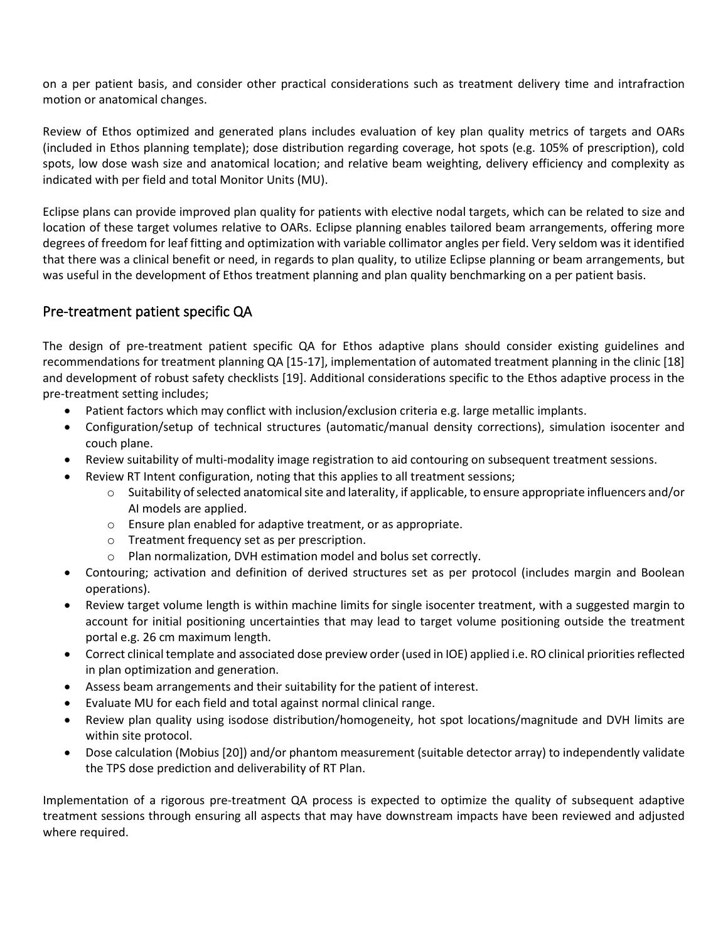on a per patient basis, and consider other practical considerations such as treatment delivery time and intrafraction motion or anatomical changes.

Review of Ethos optimized and generated plans includes evaluation of key plan quality metrics of targets and OARs (included in Ethos planning template); dose distribution regarding coverage, hot spots (e.g. 105% of prescription), cold spots, low dose wash size and anatomical location; and relative beam weighting, delivery efficiency and complexity as indicated with per field and total Monitor Units (MU).

Eclipse plans can provide improved plan quality for patients with elective nodal targets, which can be related to size and location of these target volumes relative to OARs. Eclipse planning enables tailored beam arrangements, offering more degrees of freedom for leaf fitting and optimization with variable collimator angles per field. Very seldom was it identified that there was a clinical benefit or need, in regards to plan quality, to utilize Eclipse planning or beam arrangements, but was useful in the development of Ethos treatment planning and plan quality benchmarking on a per patient basis.

# Pre-treatment patient specific QA

The design of pre-treatment patient specific QA for Ethos adaptive plans should consider existing guidelines and recommendations for treatment planning QA [15-17], implementation of automated treatment planning in the clinic [18] and development of robust safety checklists [19]. Additional considerations specific to the Ethos adaptive process in the pre-treatment setting includes;

- Patient factors which may conflict with inclusion/exclusion criteria e.g. large metallic implants.
- Configuration/setup of technical structures (automatic/manual density corrections), simulation isocenter and couch plane.
- Review suitability of multi-modality image registration to aid contouring on subsequent treatment sessions.
- Review RT Intent configuration, noting that this applies to all treatment sessions;
	- $\circ$  Suitability of selected anatomical site and laterality, if applicable, to ensure appropriate influencers and/or AI models are applied.
	- o Ensure plan enabled for adaptive treatment, or as appropriate.
	- o Treatment frequency set as per prescription.
	- o Plan normalization, DVH estimation model and bolus set correctly.
- Contouring; activation and definition of derived structures set as per protocol (includes margin and Boolean operations).
- Review target volume length is within machine limits for single isocenter treatment, with a suggested margin to account for initial positioning uncertainties that may lead to target volume positioning outside the treatment portal e.g. 26 cm maximum length.
- Correct clinical template and associated dose preview order (used in IOE) applied i.e. RO clinical priorities reflected in plan optimization and generation.
- Assess beam arrangements and their suitability for the patient of interest.
- Evaluate MU for each field and total against normal clinical range.
- Review plan quality using isodose distribution/homogeneity, hot spot locations/magnitude and DVH limits are within site protocol.
- Dose calculation (Mobius [20]) and/or phantom measurement (suitable detector array) to independently validate the TPS dose prediction and deliverability of RT Plan.

Implementation of a rigorous pre-treatment QA process is expected to optimize the quality of subsequent adaptive treatment sessions through ensuring all aspects that may have downstream impacts have been reviewed and adjusted where required.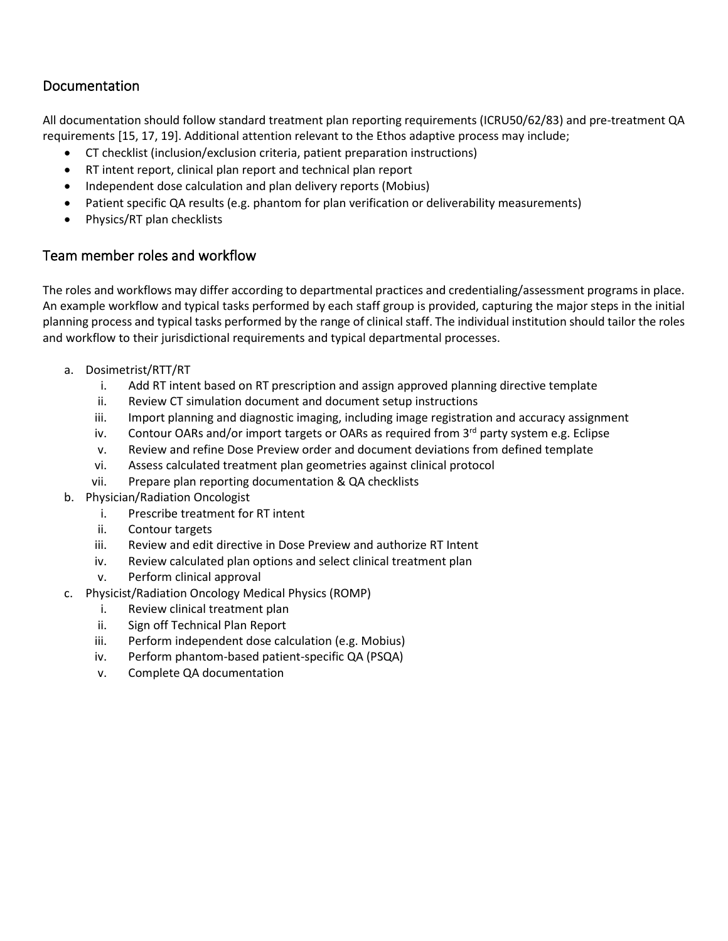# Documentation

All documentation should follow standard treatment plan reporting requirements (ICRU50/62/83) and pre-treatment QA requirements [15, 17, 19]. Additional attention relevant to the Ethos adaptive process may include;

- CT checklist (inclusion/exclusion criteria, patient preparation instructions)
- RT intent report, clinical plan report and technical plan report
- Independent dose calculation and plan delivery reports (Mobius)
- Patient specific QA results (e.g. phantom for plan verification or deliverability measurements)
- Physics/RT plan checklists

# Team member roles and workflow

The roles and workflows may differ according to departmental practices and credentialing/assessment programs in place. An example workflow and typical tasks performed by each staff group is provided, capturing the major steps in the initial planning process and typical tasks performed by the range of clinical staff. The individual institution should tailor the roles and workflow to their jurisdictional requirements and typical departmental processes.

- a. Dosimetrist/RTT/RT
	- i. Add RT intent based on RT prescription and assign approved planning directive template
	- ii. Review CT simulation document and document setup instructions
	- iii. Import planning and diagnostic imaging, including image registration and accuracy assignment
	- iv. Contour OARs and/or import targets or OARs as required from  $3^{rd}$  party system e.g. Eclipse
	- v. Review and refine Dose Preview order and document deviations from defined template
	- vi. Assess calculated treatment plan geometries against clinical protocol
	- vii. Prepare plan reporting documentation & QA checklists
- b. Physician/Radiation Oncologist
	- i. Prescribe treatment for RT intent
	- ii. Contour targets
	- iii. Review and edit directive in Dose Preview and authorize RT Intent
	- iv. Review calculated plan options and select clinical treatment plan
	- v. Perform clinical approval
- c. Physicist/Radiation Oncology Medical Physics (ROMP)
	- i. Review clinical treatment plan
	- ii. Sign off Technical Plan Report
	- iii. Perform independent dose calculation (e.g. Mobius)
	- iv. Perform phantom-based patient-specific QA (PSQA)
	- v. Complete QA documentation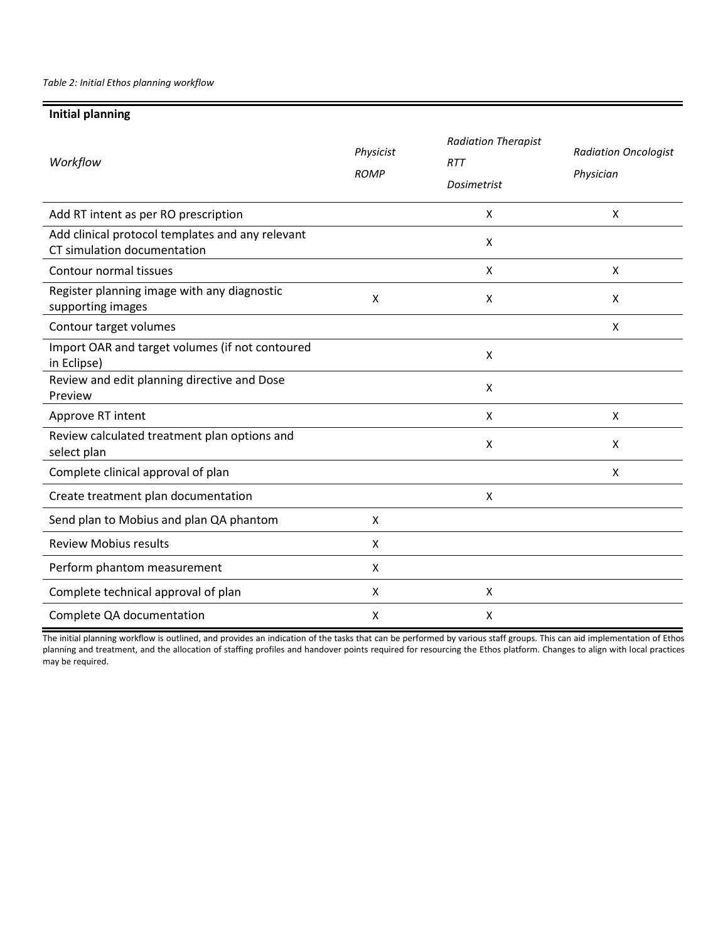*Table 2: Initial Ethos planning workflow*

#### **Initial planning**

| Workflow                                                                        | Physicist<br><b>ROMP</b> | <b>Radiation Therapist</b><br><b>RTT</b><br>Dosimetrist | <b>Radiation Oncologist</b><br>Physician |
|---------------------------------------------------------------------------------|--------------------------|---------------------------------------------------------|------------------------------------------|
| Add RT intent as per RO prescription                                            |                          | X                                                       | X                                        |
| Add clinical protocol templates and any relevant<br>CT simulation documentation |                          | X                                                       |                                          |
| Contour normal tissues                                                          |                          | X                                                       | X                                        |
| Register planning image with any diagnostic<br>supporting images                | X                        | X                                                       | X                                        |
| Contour target volumes                                                          |                          |                                                         | X                                        |
| Import OAR and target volumes (if not contoured<br>in Eclipse)                  |                          | X                                                       |                                          |
| Review and edit planning directive and Dose<br>Preview                          |                          | X                                                       |                                          |
| Approve RT intent                                                               |                          | X                                                       | X                                        |
| Review calculated treatment plan options and<br>select plan                     |                          | X                                                       | X                                        |
| Complete clinical approval of plan                                              |                          |                                                         | X                                        |
| Create treatment plan documentation                                             |                          | Χ                                                       |                                          |
| Send plan to Mobius and plan QA phantom                                         | X                        |                                                         |                                          |
| <b>Review Mobius results</b>                                                    | X                        |                                                         |                                          |
| Perform phantom measurement                                                     | X                        |                                                         |                                          |
| Complete technical approval of plan                                             | X                        | X                                                       |                                          |
| Complete QA documentation                                                       | X                        | X                                                       |                                          |

The initial planning workflow is outlined, and provides an indication of the tasks that can be performed by various staff groups. This can aid implementation of Ethos planning and treatment, and the allocation of staffing profiles and handover points required for resourcing the Ethos platform. Changes to align with local practices may be required.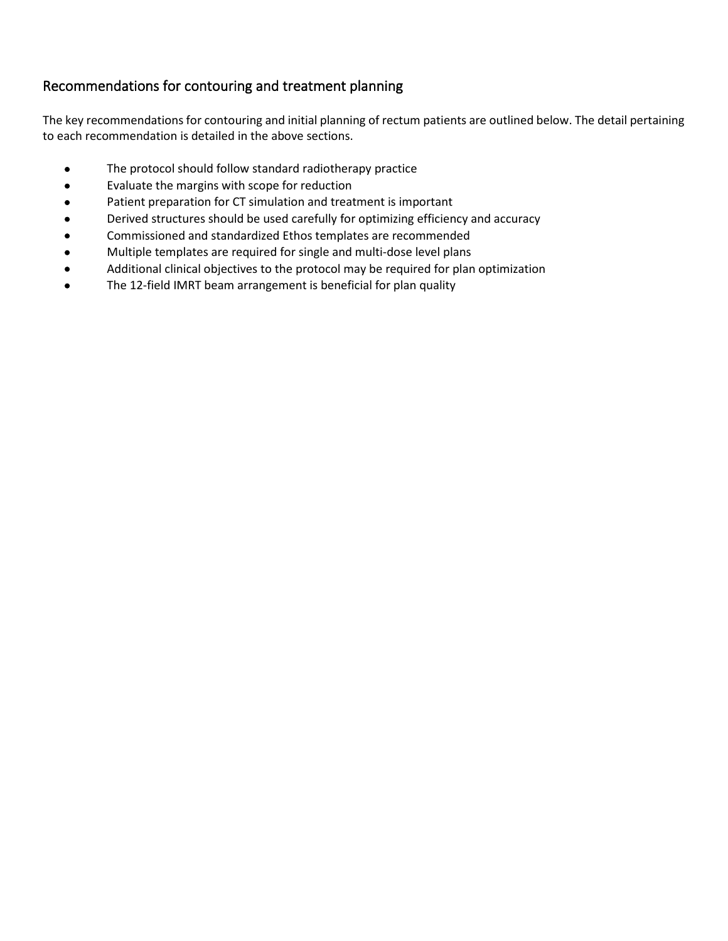# Recommendations for contouring and treatment planning

The key recommendations for contouring and initial planning of rectum patients are outlined below. The detail pertaining to each recommendation is detailed in the above sections.

- The protocol should follow standard radiotherapy practice
- Evaluate the margins with scope for reduction
- Patient preparation for CT simulation and treatment is important
- Derived structures should be used carefully for optimizing efficiency and accuracy
- Commissioned and standardized Ethos templates are recommended
- Multiple templates are required for single and multi-dose level plans
- Additional clinical objectives to the protocol may be required for plan optimization
- The 12-field IMRT beam arrangement is beneficial for plan quality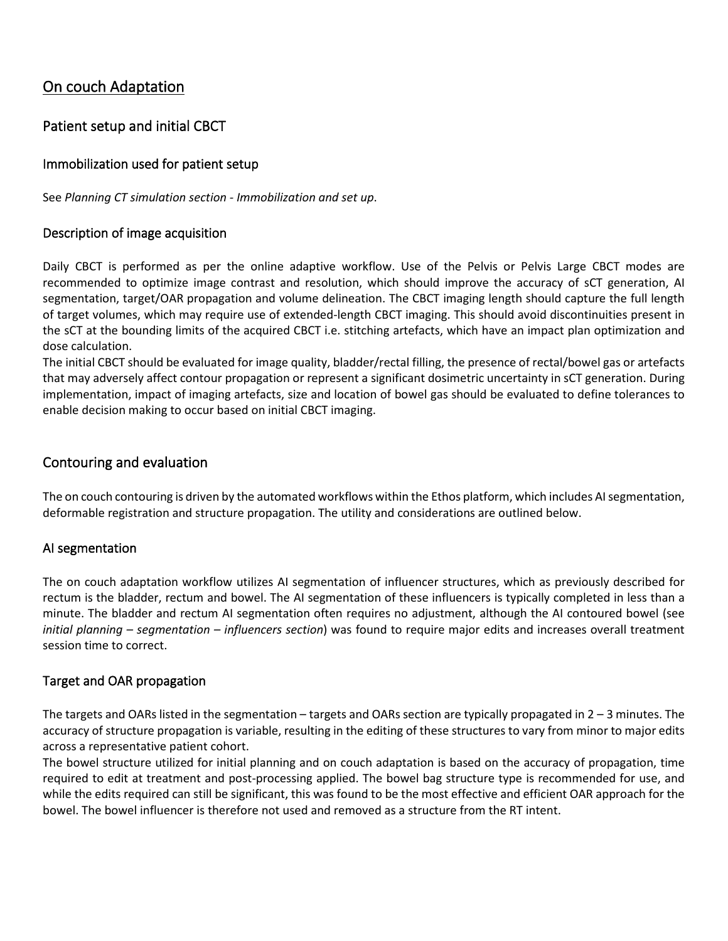# On couch Adaptation

# Patient setup and initial CBCT

### Immobilization used for patient setup

See *Planning CT simulation section - Immobilization and set up*.

#### Description of image acquisition

Daily CBCT is performed as per the online adaptive workflow. Use of the Pelvis or Pelvis Large CBCT modes are recommended to optimize image contrast and resolution, which should improve the accuracy of sCT generation, AI segmentation, target/OAR propagation and volume delineation. The CBCT imaging length should capture the full length of target volumes, which may require use of extended-length CBCT imaging. This should avoid discontinuities present in the sCT at the bounding limits of the acquired CBCT i.e. stitching artefacts, which have an impact plan optimization and dose calculation.

The initial CBCT should be evaluated for image quality, bladder/rectal filling, the presence of rectal/bowel gas or artefacts that may adversely affect contour propagation or represent a significant dosimetric uncertainty in sCT generation. During implementation, impact of imaging artefacts, size and location of bowel gas should be evaluated to define tolerances to enable decision making to occur based on initial CBCT imaging.

### Contouring and evaluation

The on couch contouring is driven by the automated workflows within the Ethos platform, which includes AI segmentation, deformable registration and structure propagation. The utility and considerations are outlined below.

### AI segmentation

The on couch adaptation workflow utilizes AI segmentation of influencer structures, which as previously described for rectum is the bladder, rectum and bowel. The AI segmentation of these influencers is typically completed in less than a minute. The bladder and rectum AI segmentation often requires no adjustment, although the AI contoured bowel (see *initial planning – segmentation – influencers section*) was found to require major edits and increases overall treatment session time to correct.

#### Target and OAR propagation

The targets and OARs listed in the segmentation – targets and OARs section are typically propagated in 2 – 3 minutes. The accuracy of structure propagation is variable, resulting in the editing of these structures to vary from minor to major edits across a representative patient cohort.

The bowel structure utilized for initial planning and on couch adaptation is based on the accuracy of propagation, time required to edit at treatment and post-processing applied. The bowel bag structure type is recommended for use, and while the edits required can still be significant, this was found to be the most effective and efficient OAR approach for the bowel. The bowel influencer is therefore not used and removed as a structure from the RT intent.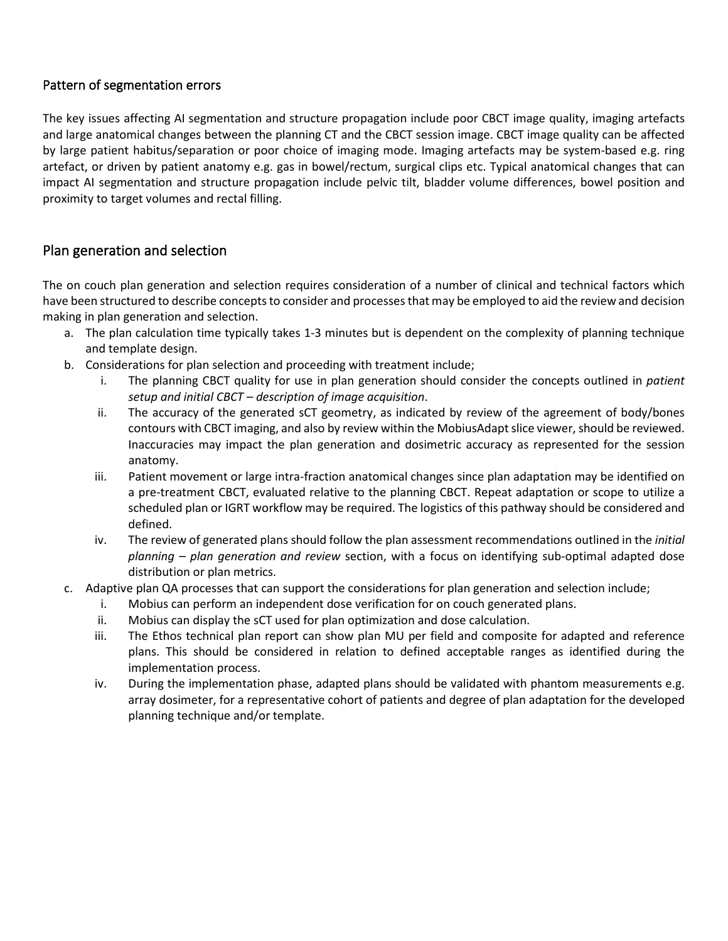#### Pattern of segmentation errors

The key issues affecting AI segmentation and structure propagation include poor CBCT image quality, imaging artefacts and large anatomical changes between the planning CT and the CBCT session image. CBCT image quality can be affected by large patient habitus/separation or poor choice of imaging mode. Imaging artefacts may be system-based e.g. ring artefact, or driven by patient anatomy e.g. gas in bowel/rectum, surgical clips etc. Typical anatomical changes that can impact AI segmentation and structure propagation include pelvic tilt, bladder volume differences, bowel position and proximity to target volumes and rectal filling.

# Plan generation and selection

The on couch plan generation and selection requires consideration of a number of clinical and technical factors which have been structured to describe concepts to consider and processes that may be employed to aid the review and decision making in plan generation and selection.

- a. The plan calculation time typically takes 1-3 minutes but is dependent on the complexity of planning technique and template design.
- b. Considerations for plan selection and proceeding with treatment include;
	- i. The planning CBCT quality for use in plan generation should consider the concepts outlined in *patient setup and initial CBCT – description of image acquisition*.
	- ii. The accuracy of the generated sCT geometry, as indicated by review of the agreement of body/bones contours with CBCT imaging, and also by review within the MobiusAdapt slice viewer, should be reviewed. Inaccuracies may impact the plan generation and dosimetric accuracy as represented for the session anatomy.
	- iii. Patient movement or large intra-fraction anatomical changes since plan adaptation may be identified on a pre-treatment CBCT, evaluated relative to the planning CBCT. Repeat adaptation or scope to utilize a scheduled plan or IGRT workflow may be required. The logistics of this pathway should be considered and defined.
	- iv. The review of generated plans should follow the plan assessment recommendations outlined in the *initial planning – plan generation and review* section, with a focus on identifying sub-optimal adapted dose distribution or plan metrics.
- c. Adaptive plan QA processes that can support the considerations for plan generation and selection include;
	- i. Mobius can perform an independent dose verification for on couch generated plans.
	- ii. Mobius can display the sCT used for plan optimization and dose calculation.
	- iii. The Ethos technical plan report can show plan MU per field and composite for adapted and reference plans. This should be considered in relation to defined acceptable ranges as identified during the implementation process.
	- iv. During the implementation phase, adapted plans should be validated with phantom measurements e.g. array dosimeter, for a representative cohort of patients and degree of plan adaptation for the developed planning technique and/or template.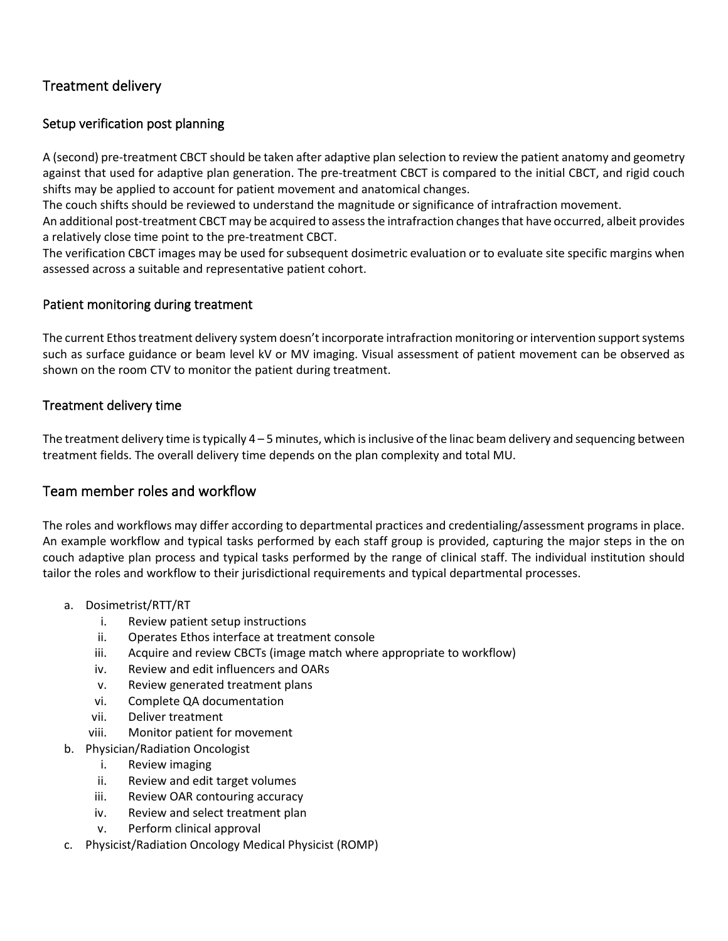# Treatment delivery

### Setup verification post planning

A (second) pre-treatment CBCT should be taken after adaptive plan selection to review the patient anatomy and geometry against that used for adaptive plan generation. The pre-treatment CBCT is compared to the initial CBCT, and rigid couch shifts may be applied to account for patient movement and anatomical changes.

The couch shifts should be reviewed to understand the magnitude or significance of intrafraction movement.

An additional post-treatment CBCT may be acquired to assess the intrafraction changes that have occurred, albeit provides a relatively close time point to the pre-treatment CBCT.

The verification CBCT images may be used for subsequent dosimetric evaluation or to evaluate site specific margins when assessed across a suitable and representative patient cohort.

### Patient monitoring during treatment

The current Ethos treatment delivery system doesn't incorporate intrafraction monitoring or intervention support systems such as surface guidance or beam level kV or MV imaging. Visual assessment of patient movement can be observed as shown on the room CTV to monitor the patient during treatment.

#### Treatment delivery time

The treatment delivery time istypically 4 – 5 minutes, which is inclusive of the linac beam delivery and sequencing between treatment fields. The overall delivery time depends on the plan complexity and total MU.

### Team member roles and workflow

The roles and workflows may differ according to departmental practices and credentialing/assessment programs in place. An example workflow and typical tasks performed by each staff group is provided, capturing the major steps in the on couch adaptive plan process and typical tasks performed by the range of clinical staff. The individual institution should tailor the roles and workflow to their jurisdictional requirements and typical departmental processes.

#### a. Dosimetrist/RTT/RT

- i. Review patient setup instructions
- ii. Operates Ethos interface at treatment console
- iii. Acquire and review CBCTs (image match where appropriate to workflow)
- iv. Review and edit influencers and OARs
- v. Review generated treatment plans
- vi. Complete QA documentation
- vii. Deliver treatment
- viii. Monitor patient for movement
- b. Physician/Radiation Oncologist
	- i. Review imaging
	- ii. Review and edit target volumes
	- iii. Review OAR contouring accuracy
	- iv. Review and select treatment plan
	- v. Perform clinical approval
- c. Physicist/Radiation Oncology Medical Physicist (ROMP)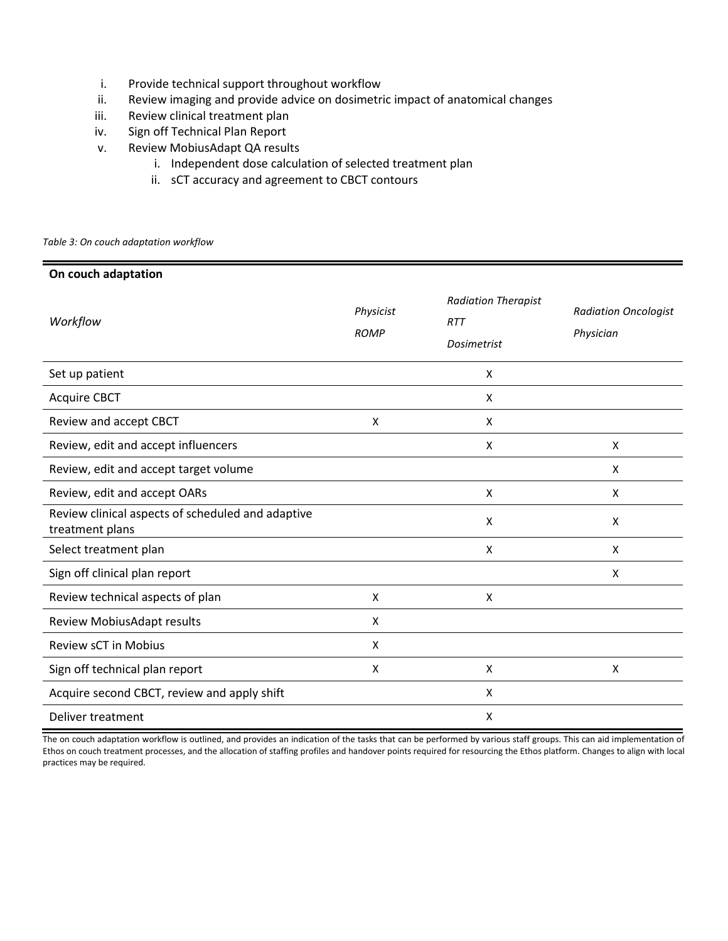- i. Provide technical support throughout workflow
- ii. Review imaging and provide advice on dosimetric impact of anatomical changes
- iii. Review clinical treatment plan
- iv. Sign off Technical Plan Report
- v. Review MobiusAdapt QA results
	- i. Independent dose calculation of selected treatment plan
	- ii. sCT accuracy and agreement to CBCT contours

*Table 3: On couch adaptation workflow*

| On couch adaptation                                                  |                          |                                                                |                                          |
|----------------------------------------------------------------------|--------------------------|----------------------------------------------------------------|------------------------------------------|
| Workflow                                                             | Physicist<br><b>ROMP</b> | <b>Radiation Therapist</b><br><b>RTT</b><br><b>Dosimetrist</b> | <b>Radiation Oncologist</b><br>Physician |
| Set up patient                                                       |                          | X                                                              |                                          |
| <b>Acquire CBCT</b>                                                  |                          | Χ                                                              |                                          |
| Review and accept CBCT                                               | X                        | X                                                              |                                          |
| Review, edit and accept influencers                                  |                          | X                                                              | X                                        |
| Review, edit and accept target volume                                |                          |                                                                | X                                        |
| Review, edit and accept OARs                                         |                          | X                                                              | X                                        |
| Review clinical aspects of scheduled and adaptive<br>treatment plans |                          | X                                                              | X                                        |
| Select treatment plan                                                |                          | X                                                              | X                                        |
| Sign off clinical plan report                                        |                          |                                                                | X                                        |
| Review technical aspects of plan                                     | X                        | X                                                              |                                          |
| Review MobiusAdapt results                                           | X                        |                                                                |                                          |
| <b>Review sCT in Mobius</b>                                          | X                        |                                                                |                                          |
| Sign off technical plan report                                       | X                        | X                                                              | X                                        |
| Acquire second CBCT, review and apply shift                          |                          | Χ                                                              |                                          |
| Deliver treatment                                                    |                          | Х                                                              |                                          |

The on couch adaptation workflow is outlined, and provides an indication of the tasks that can be performed by various staff groups. This can aid implementation of Ethos on couch treatment processes, and the allocation of staffing profiles and handover points required for resourcing the Ethos platform. Changes to align with local practices may be required.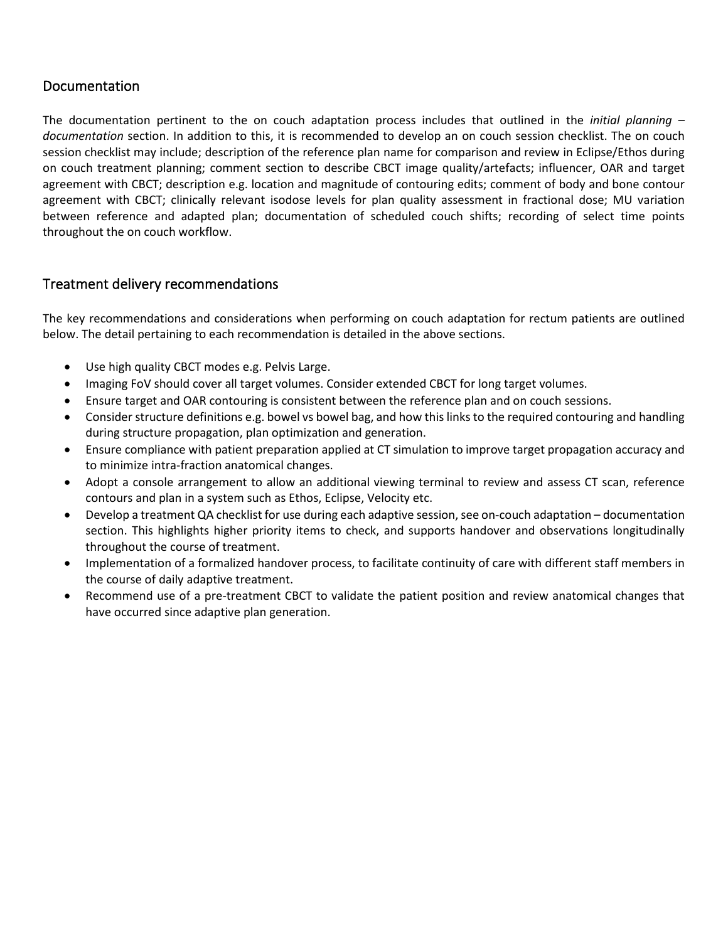# Documentation

The documentation pertinent to the on couch adaptation process includes that outlined in the *initial planning – documentation* section. In addition to this, it is recommended to develop an on couch session checklist. The on couch session checklist may include; description of the reference plan name for comparison and review in Eclipse/Ethos during on couch treatment planning; comment section to describe CBCT image quality/artefacts; influencer, OAR and target agreement with CBCT; description e.g. location and magnitude of contouring edits; comment of body and bone contour agreement with CBCT; clinically relevant isodose levels for plan quality assessment in fractional dose; MU variation between reference and adapted plan; documentation of scheduled couch shifts; recording of select time points throughout the on couch workflow.

### Treatment delivery recommendations

The key recommendations and considerations when performing on couch adaptation for rectum patients are outlined below. The detail pertaining to each recommendation is detailed in the above sections.

- Use high quality CBCT modes e.g. Pelvis Large.
- Imaging FoV should cover all target volumes. Consider extended CBCT for long target volumes.
- Ensure target and OAR contouring is consistent between the reference plan and on couch sessions.
- Consider structure definitions e.g. bowel vs bowel bag, and how this links to the required contouring and handling during structure propagation, plan optimization and generation.
- Ensure compliance with patient preparation applied at CT simulation to improve target propagation accuracy and to minimize intra-fraction anatomical changes.
- Adopt a console arrangement to allow an additional viewing terminal to review and assess CT scan, reference contours and plan in a system such as Ethos, Eclipse, Velocity etc.
- Develop a treatment QA checklist for use during each adaptive session, see on-couch adaptation documentation section. This highlights higher priority items to check, and supports handover and observations longitudinally throughout the course of treatment.
- Implementation of a formalized handover process, to facilitate continuity of care with different staff members in the course of daily adaptive treatment.
- Recommend use of a pre-treatment CBCT to validate the patient position and review anatomical changes that have occurred since adaptive plan generation.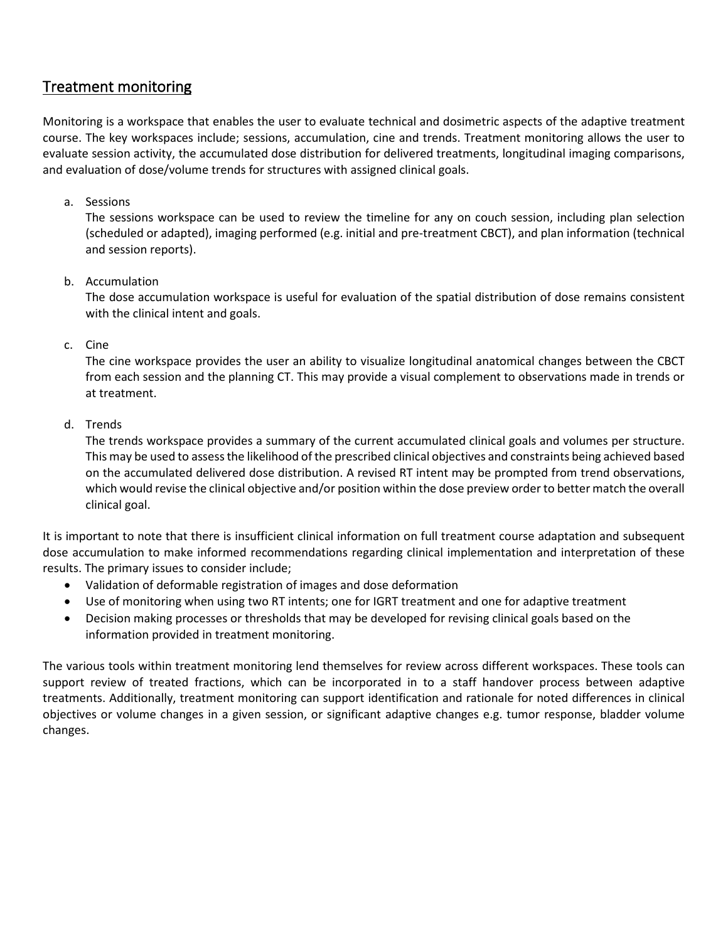# Treatment monitoring

Monitoring is a workspace that enables the user to evaluate technical and dosimetric aspects of the adaptive treatment course. The key workspaces include; sessions, accumulation, cine and trends. Treatment monitoring allows the user to evaluate session activity, the accumulated dose distribution for delivered treatments, longitudinal imaging comparisons, and evaluation of dose/volume trends for structures with assigned clinical goals.

#### a. Sessions

The sessions workspace can be used to review the timeline for any on couch session, including plan selection (scheduled or adapted), imaging performed (e.g. initial and pre-treatment CBCT), and plan information (technical and session reports).

#### b. Accumulation

The dose accumulation workspace is useful for evaluation of the spatial distribution of dose remains consistent with the clinical intent and goals.

#### c. Cine

The cine workspace provides the user an ability to visualize longitudinal anatomical changes between the CBCT from each session and the planning CT. This may provide a visual complement to observations made in trends or at treatment.

#### d. Trends

The trends workspace provides a summary of the current accumulated clinical goals and volumes per structure. This may be used to assess the likelihood of the prescribed clinical objectives and constraints being achieved based on the accumulated delivered dose distribution. A revised RT intent may be prompted from trend observations, which would revise the clinical objective and/or position within the dose preview order to better match the overall clinical goal.

It is important to note that there is insufficient clinical information on full treatment course adaptation and subsequent dose accumulation to make informed recommendations regarding clinical implementation and interpretation of these results. The primary issues to consider include;

- Validation of deformable registration of images and dose deformation
- Use of monitoring when using two RT intents; one for IGRT treatment and one for adaptive treatment
- Decision making processes or thresholds that may be developed for revising clinical goals based on the information provided in treatment monitoring.

The various tools within treatment monitoring lend themselves for review across different workspaces. These tools can support review of treated fractions, which can be incorporated in to a staff handover process between adaptive treatments. Additionally, treatment monitoring can support identification and rationale for noted differences in clinical objectives or volume changes in a given session, or significant adaptive changes e.g. tumor response, bladder volume changes.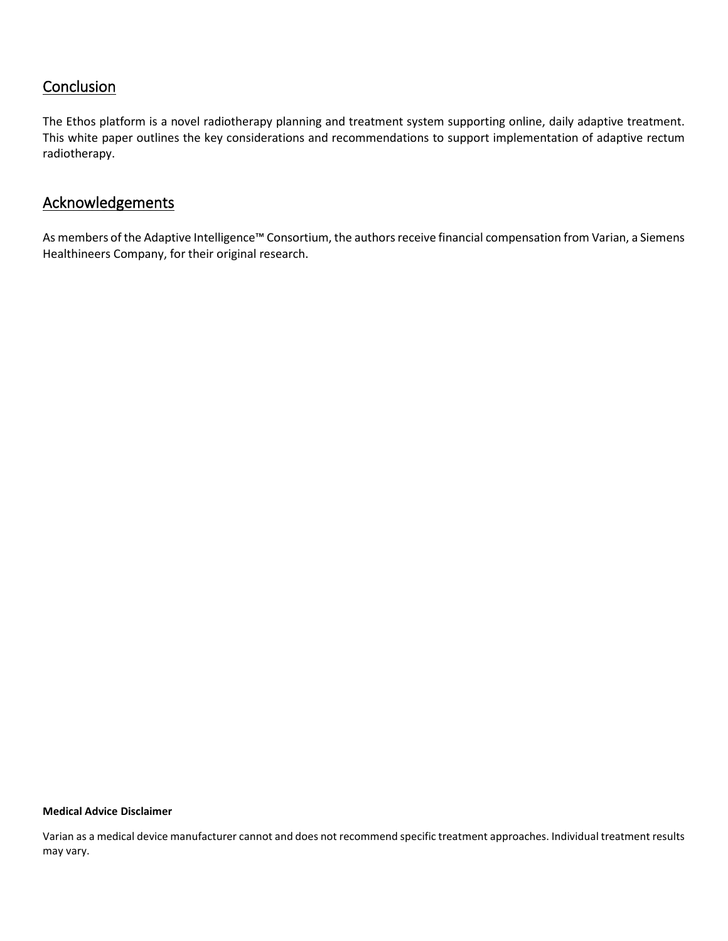# **Conclusion**

The Ethos platform is a novel radiotherapy planning and treatment system supporting online, daily adaptive treatment. This white paper outlines the key considerations and recommendations to support implementation of adaptive rectum radiotherapy.

# **Acknowledgements**

As members of the Adaptive Intelligence™ Consortium, the authors receive financial compensation from Varian, a Siemens Healthineers Company, for their original research.

#### **Medical Advice Disclaimer**

Varian as a medical device manufacturer cannot and does not recommend specific treatment approaches. Individual treatment results may vary.